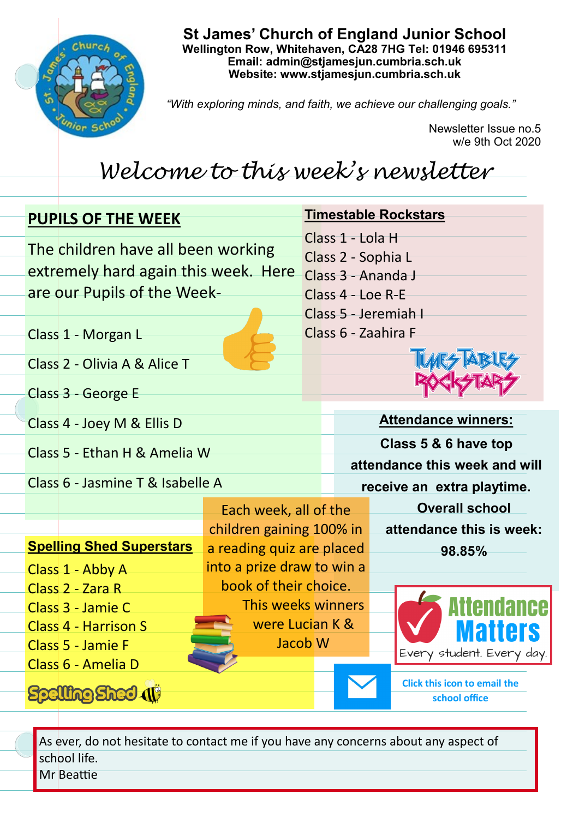

**St James' Church of England Junior School Wellington Row, Whitehaven, CA28 7HG Tel: 01946 695311 Email: admin@stjamesjun.cumbria.sch.uk Website: www.stjamesjun.cumbria.sch.uk**

*"With exploring minds, and faith, we achieve our challenging goals."*

Newsletter Issue no.5 w/e 9th Oct 2020

## *Welcome to this week's newsletter*

| <b>PUPILS OF THE WEEK</b>                 |                                                                                                           |  |                                                              | <b>Timestable Rockstars</b>                          |  |  |  |
|-------------------------------------------|-----------------------------------------------------------------------------------------------------------|--|--------------------------------------------------------------|------------------------------------------------------|--|--|--|
|                                           | The children have all been working<br>extremely hard again this week. Here<br>are our Pupils of the Week- |  | Class 1 - Lola H<br>Class 2 - Sophia L<br>Class 3 - Ananda J |                                                      |  |  |  |
|                                           |                                                                                                           |  | Class 4 - Loe R-E<br>Class 5 - Jeremiah I                    |                                                      |  |  |  |
| Class 1 - Morgan L                        |                                                                                                           |  | Class 6 - Zaahira F                                          |                                                      |  |  |  |
| Class 2 - Olivia A & Alice T              |                                                                                                           |  |                                                              |                                                      |  |  |  |
| Class 3 - George E                        |                                                                                                           |  |                                                              |                                                      |  |  |  |
| Class 4 - Joey M & Ellis D                |                                                                                                           |  |                                                              | <b>Attendance winners:</b>                           |  |  |  |
| Class 5 - Ethan H & Amelia W              |                                                                                                           |  | Class 5 & 6 have top<br>attendance this week and will        |                                                      |  |  |  |
| Class 6 - Jasmine T & Isabelle A          |                                                                                                           |  | receive an extra playtime.                                   |                                                      |  |  |  |
|                                           | Each week, all of the                                                                                     |  |                                                              | <b>Overall school</b>                                |  |  |  |
|                                           | children gaining 100% in                                                                                  |  |                                                              | attendance this is week:                             |  |  |  |
| <b>Spelling Shed Superstars</b>           | a reading quiz are placed                                                                                 |  |                                                              | 98.85%                                               |  |  |  |
| Class 1 - Abby A                          | into a prize draw to win a                                                                                |  |                                                              |                                                      |  |  |  |
| Class 2 - Zara R                          | book of their choice.<br>This weeks winners                                                               |  |                                                              |                                                      |  |  |  |
| Class 3 - Jamie C<br>Class 4 - Harrison S | were Lucian K &                                                                                           |  |                                                              |                                                      |  |  |  |
| Class 5 - Jamie F<br>Class 6 - Amelia D   | Jacob <sub>W</sub>                                                                                        |  |                                                              | Every student. Every day.                            |  |  |  |
| <b>Spelling Sheel (1)</b>                 |                                                                                                           |  |                                                              | <b>Click this icon to email the</b><br>school office |  |  |  |

As ever, do not hesitate to contact me if you have any concerns about any aspect of school life. Mr Beattie